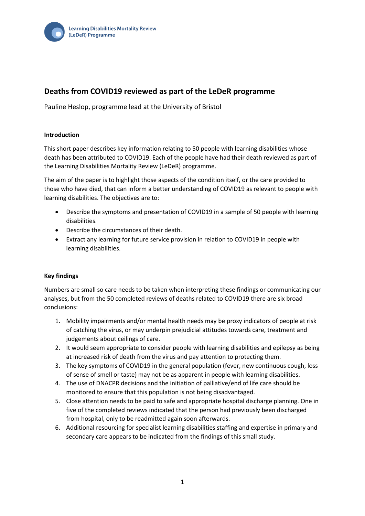

# **Deaths from COVID19 reviewed as part of the LeDeR programme**

Pauline Heslop, programme lead at the University of Bristol

#### **Introduction**

This short paper describes key information relating to 50 people with learning disabilities whose death has been attributed to COVID19. Each of the people have had their death reviewed as part of the Learning Disabilities Mortality Review (LeDeR) programme.

The aim of the paper is to highlight those aspects of the condition itself, or the care provided to those who have died, that can inform a better understanding of COVID19 as relevant to people with learning disabilities. The objectives are to:

- Describe the symptoms and presentation of COVID19 in a sample of 50 people with learning disabilities.
- Describe the circumstances of their death.
- Extract any learning for future service provision in relation to COVID19 in people with learning disabilities.

#### **Key findings**

Numbers are small so care needs to be taken when interpreting these findings or communicating our analyses, but from the 50 completed reviews of deaths related to COVID19 there are six broad conclusions:

- 1. Mobility impairments and/or mental health needs may be proxy indicators of people at risk of catching the virus, or may underpin prejudicial attitudes towards care, treatment and judgements about ceilings of care.
- 2. It would seem appropriate to consider people with learning disabilities and epilepsy as being at increased risk of death from the virus and pay attention to protecting them.
- 3. The key symptoms of COVID19 in the general population (fever, new continuous cough, loss of sense of smell or taste) may not be as apparent in people with learning disabilities.
- 4. The use of DNACPR decisions and the initiation of palliative/end of life care should be monitored to ensure that this population is not being disadvantaged.
- 5. Close attention needs to be paid to safe and appropriate hospital discharge planning. One in five of the completed reviews indicated that the person had previously been discharged from hospital, only to be readmitted again soon afterwards.
- 6. Additional resourcing for specialist learning disabilities staffing and expertise in primary and secondary care appears to be indicated from the findings of this small study.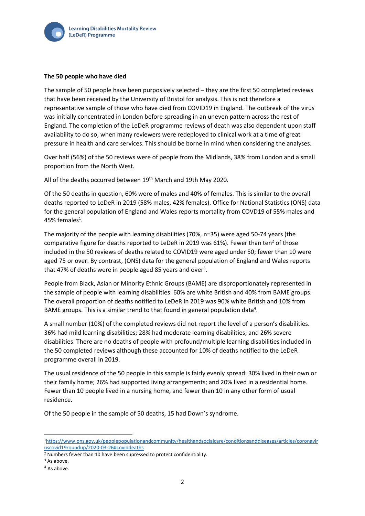

#### **The 50 people who have died**

The sample of 50 people have been purposively selected – they are the first 50 completed reviews that have been received by the University of Bristol for analysis. This is not therefore a representative sample of those who have died from COVID19 in England. The outbreak of the virus was initially concentrated in London before spreading in an uneven pattern across the rest of England. The completion of the LeDeR programme reviews of death was also dependent upon staff availability to do so, when many reviewers were redeployed to clinical work at a time of great pressure in health and care services. This should be borne in mind when considering the analyses.

Over half (56%) of the 50 reviews were of people from the Midlands, 38% from London and a small proportion from the North West.

All of the deaths occurred between 19<sup>th</sup> March and 19th May 2020.

Of the 50 deaths in question, 60% were of males and 40% of females. This is similar to the overall deaths reported to LeDeR in 2019 (58% males, 42% females). Office for National Statistics (ONS) data for the general population of England and Wales reports mortality from COVD19 of 55% males and 45% females<sup>1</sup>.

The majority of the people with learning disabilities (70%, n=35) were aged 50-74 years (the comparative figure for deaths reported to LeDeR in 2019 was 61%). Fewer than ten<sup>2</sup> of those included in the 50 reviews of deaths related to COVID19 were aged under 50; fewer than 10 were aged 75 or over. By contrast, (ONS) data for the general population of England and Wales reports that 47% of deaths were in people aged 85 years and over<sup>3</sup>.

People from Black, Asian or Minority Ethnic Groups (BAME) are disproportionately represented in the sample of people with learning disabilities: 60% are white British and 40% from BAME groups. The overall proportion of deaths notified to LeDeR in 2019 was 90% white British and 10% from BAME groups. This is a similar trend to that found in general population data<sup>4</sup>.

A small number (10%) of the completed reviews did not report the level of a person's disabilities. 36% had mild learning disabilities; 28% had moderate learning disabilities; and 26% severe disabilities. There are no deaths of people with profound/multiple learning disabilities included in the 50 completed reviews although these accounted for 10% of deaths notified to the LeDeR programme overall in 2019.

The usual residence of the 50 people in this sample is fairly evenly spread: 30% lived in their own or their family home; 26% had supported living arrangements; and 20% lived in a residential home. Fewer than 10 people lived in a nursing home, and fewer than 10 in any other form of usual residence.

Of the 50 people in the sample of 50 deaths, 15 had Down's syndrome.

<sup>1</sup>[https://www.ons.gov.uk/peoplepopulationandcommunity/healthandsocialcare/conditionsanddiseases/articles/coronavir](https://www.ons.gov.uk/peoplepopulationandcommunity/healthandsocialcare/conditionsanddiseases/articles/coronaviruscovid19roundup/2020-03-26#coviddeaths) [uscovid19roundup/2020-03-26#coviddeaths](https://www.ons.gov.uk/peoplepopulationandcommunity/healthandsocialcare/conditionsanddiseases/articles/coronaviruscovid19roundup/2020-03-26#coviddeaths)

<sup>2</sup> Numbers fewer than 10 have been supressed to protect confidentiality.

<sup>&</sup>lt;sup>3</sup> As above.

<sup>&</sup>lt;sup>4</sup> As above.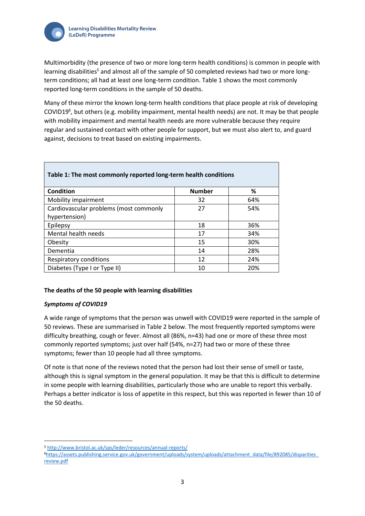

 $\mathcal{L}$ 

Multimorbidity (the presence of two or more long-term health conditions) is common in people with learning disabilities<sup>5</sup> and almost all of the sample of 50 completed reviews had two or more longterm conditions; all had at least one long-term condition. Table 1 shows the most commonly reported long-term conditions in the sample of 50 deaths.

Many of these mirror the known long-term health conditions that place people at risk of developing COVID19<sup>6</sup>, but others (e.g. mobility impairment, mental health needs) are not. It may be that people with mobility impairment and mental health needs are more vulnerable because they require regular and sustained contact with other people for support, but we must also alert to, and guard against, decisions to treat based on existing impairments.

| Table 1: The most commonly reported long-term health conditions |               |     |  |
|-----------------------------------------------------------------|---------------|-----|--|
| Condition                                                       | <b>Number</b> | ℅   |  |
| Mobility impairment                                             | 32            | 64% |  |
| Cardiovascular problems (most commonly                          | 27            | 54% |  |
| hypertension)                                                   |               |     |  |
| Epilepsy                                                        | 18            | 36% |  |
| Mental health needs                                             | 17            | 34% |  |
| Obesity                                                         | 15            | 30% |  |
| Dementia                                                        | 14            | 28% |  |
| Respiratory conditions                                          | 12            | 24% |  |
| Diabetes (Type I or Type II)                                    | 10            | 20% |  |

# **The deaths of the 50 people with learning disabilities**

#### *Symptoms of COVID19*

A wide range of symptoms that the person was unwell with COVID19 were reported in the sample of 50 reviews. These are summarised in Table 2 below. The most frequently reported symptoms were difficulty breathing, cough or fever. Almost all (86%, n=43) had one or more of these three most commonly reported symptoms; just over half (54%, n=27) had two or more of these three symptoms; fewer than 10 people had all three symptoms.

Of note is that none of the reviews noted that the person had lost their sense of smell or taste, although this is signal symptom in the general population. It may be that this is difficult to determine in some people with learning disabilities, particularly those who are unable to report this verbally. Perhaps a better indicator is loss of appetite in this respect, but this was reported in fewer than 10 of the 50 deaths.

<sup>5</sup> <http://www.bristol.ac.uk/sps/leder/resources/annual-reports/>

<sup>6</sup>[https://assets.publishing.service.gov.uk/government/uploads/system/uploads/attachment\\_data/file/892085/disparities\\_](https://assets.publishing.service.gov.uk/government/uploads/system/uploads/attachment_data/file/892085/disparities_review.pdf) [review.pdf](https://assets.publishing.service.gov.uk/government/uploads/system/uploads/attachment_data/file/892085/disparities_review.pdf)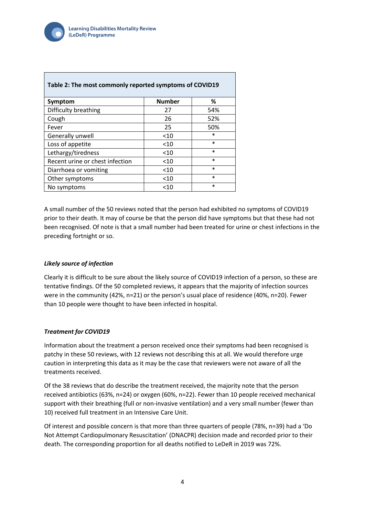

| Table 2: The most commonly reported symptoms of COVID19 |               |        |  |
|---------------------------------------------------------|---------------|--------|--|
| Symptom                                                 | <b>Number</b> | %      |  |
| Difficulty breathing                                    | 27            | 54%    |  |
| Cough                                                   | 26            | 52%    |  |
| Fever                                                   | 25            | 50%    |  |
| Generally unwell                                        | $<$ 10        | $\ast$ |  |
| Loss of appetite                                        | $<$ 10        | $\ast$ |  |
| Lethargy/tiredness                                      | < 10          | $\ast$ |  |
| Recent urine or chest infection                         | $<$ 10        | $\ast$ |  |
| Diarrhoea or vomiting                                   | $<$ 10        | $\ast$ |  |
| Other symptoms                                          | $<$ 10        | $\ast$ |  |
| No symptoms                                             | $<$ 10        | $\ast$ |  |

A small number of the 50 reviews noted that the person had exhibited no symptoms of COVID19 prior to their death. It may of course be that the person did have symptoms but that these had not been recognised. Of note is that a small number had been treated for urine or chest infections in the preceding fortnight or so.

# *Likely source of infection*

Clearly it is difficult to be sure about the likely source of COVID19 infection of a person, so these are tentative findings. Of the 50 completed reviews, it appears that the majority of infection sources were in the community (42%, n=21) or the person's usual place of residence (40%, n=20). Fewer than 10 people were thought to have been infected in hospital.

#### *Treatment for COVID19*

Information about the treatment a person received once their symptoms had been recognised is patchy in these 50 reviews, with 12 reviews not describing this at all. We would therefore urge caution in interpreting this data as it may be the case that reviewers were not aware of all the treatments received.

Of the 38 reviews that do describe the treatment received, the majority note that the person received antibiotics (63%, n=24) or oxygen (60%, n=22). Fewer than 10 people received mechanical support with their breathing (full or non-invasive ventilation) and a very small number (fewer than 10) received full treatment in an Intensive Care Unit.

Of interest and possible concern is that more than three quarters of people (78%, n=39) had a 'Do Not Attempt Cardiopulmonary Resuscitation' (DNACPR) decision made and recorded prior to their death. The corresponding proportion for all deaths notified to LeDeR in 2019 was 72%.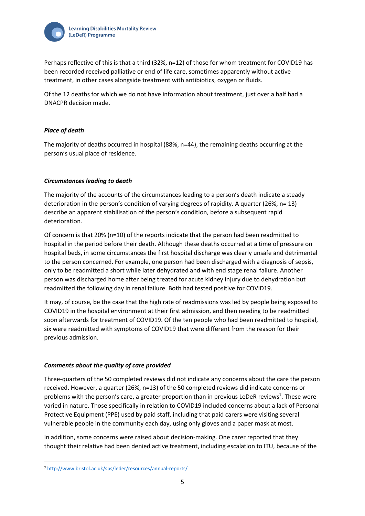

Perhaps reflective of this is that a third (32%, n=12) of those for whom treatment for COVID19 has been recorded received palliative or end of life care, sometimes apparently without active treatment, in other cases alongside treatment with antibiotics, oxygen or fluids.

Of the 12 deaths for which we do not have information about treatment, just over a half had a DNACPR decision made.

## *Place of death*

The majority of deaths occurred in hospital (88%, n=44), the remaining deaths occurring at the person's usual place of residence.

## *Circumstances leading to death*

The majority of the accounts of the circumstances leading to a person's death indicate a steady deterioration in the person's condition of varying degrees of rapidity. A quarter (26%, n= 13) describe an apparent stabilisation of the person's condition, before a subsequent rapid deterioration.

Of concern is that 20% (n=10) of the reports indicate that the person had been readmitted to hospital in the period before their death. Although these deaths occurred at a time of pressure on hospital beds, in some circumstances the first hospital discharge was clearly unsafe and detrimental to the person concerned. For example, one person had been discharged with a diagnosis of sepsis, only to be readmitted a short while later dehydrated and with end stage renal failure. Another person was discharged home after being treated for acute kidney injury due to dehydration but readmitted the following day in renal failure. Both had tested positive for COVID19.

It may, of course, be the case that the high rate of readmissions was led by people being exposed to COVID19 in the hospital environment at their first admission, and then needing to be readmitted soon afterwards for treatment of COVID19. Of the ten people who had been readmitted to hospital, six were readmitted with symptoms of COVID19 that were different from the reason for their previous admission.

# *Comments about the quality of care provided*

Three-quarters of the 50 completed reviews did not indicate any concerns about the care the person received. However, a quarter (26%, n=13) of the 50 completed reviews did indicate concerns or problems with the person's care, a greater proportion than in previous LeDeR reviews<sup>7</sup>. These were varied in nature. Those specifically in relation to COVID19 included concerns about a lack of Personal Protective Equipment (PPE) used by paid staff, including that paid carers were visiting several vulnerable people in the community each day, using only gloves and a paper mask at most.

In addition, some concerns were raised about decision-making. One carer reported that they thought their relative had been denied active treatment, including escalation to ITU, because of the

<sup>7</sup> <http://www.bristol.ac.uk/sps/leder/resources/annual-reports/>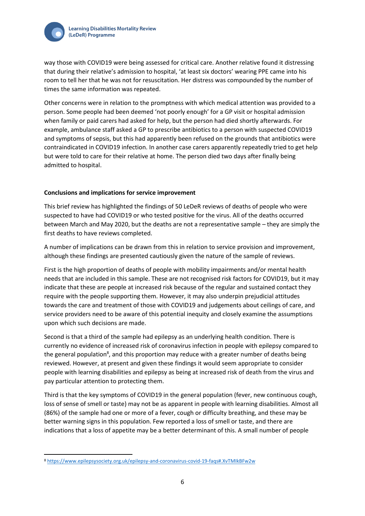

way those with COVID19 were being assessed for critical care. Another relative found it distressing that during their relative's admission to hospital, 'at least six doctors' wearing PPE came into his room to tell her that he was not for resuscitation. Her distress was compounded by the number of times the same information was repeated.

Other concerns were in relation to the promptness with which medical attention was provided to a person. Some people had been deemed 'not poorly enough' for a GP visit or hospital admission when family or paid carers had asked for help, but the person had died shortly afterwards. For example, ambulance staff asked a GP to prescribe antibiotics to a person with suspected COVID19 and symptoms of sepsis, but this had apparently been refused on the grounds that antibiotics were contraindicated in COVID19 infection. In another case carers apparently repeatedly tried to get help but were told to care for their relative at home. The person died two days after finally being admitted to hospital.

## **Conclusions and implications for service improvement**

This brief review has highlighted the findings of 50 LeDeR reviews of deaths of people who were suspected to have had COVID19 or who tested positive for the virus. All of the deaths occurred between March and May 2020, but the deaths are not a representative sample – they are simply the first deaths to have reviews completed.

A number of implications can be drawn from this in relation to service provision and improvement, although these findings are presented cautiously given the nature of the sample of reviews.

First is the high proportion of deaths of people with mobility impairments and/or mental health needs that are included in this sample. These are not recognised risk factors for COVID19, but it may indicate that these are people at increased risk because of the regular and sustained contact they require with the people supporting them. However, it may also underpin prejudicial attitudes towards the care and treatment of those with COVID19 and judgements about ceilings of care, and service providers need to be aware of this potential inequity and closely examine the assumptions upon which such decisions are made.

Second is that a third of the sample had epilepsy as an underlying health condition. There is currently no evidence of increased risk of coronavirus infection in people with epilepsy compared to the general population<sup>8</sup>, and this proportion may reduce with a greater number of deaths being reviewed. However, at present and given these findings it would seem appropriate to consider people with learning disabilities and epilepsy as being at increased risk of death from the virus and pay particular attention to protecting them.

Third is that the key symptoms of COVID19 in the general population (fever, new continuous cough, loss of sense of smell or taste) may not be as apparent in people with learning disabilities. Almost all (86%) of the sample had one or more of a fever, cough or difficulty breathing, and these may be better warning signs in this population. Few reported a loss of smell or taste, and there are indications that a loss of appetite may be a better determinant of this. A small number of people

<sup>8</sup> <https://www.epilepsysociety.org.uk/epilepsy-and-coronavirus-covid-19-faqs#.XvTMIkBFw2w>